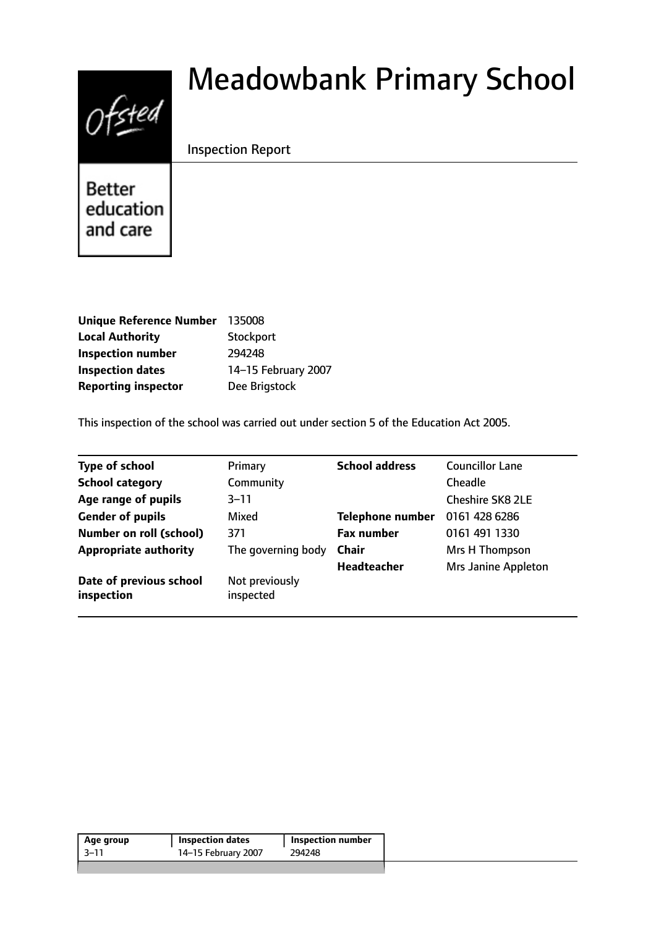# $0$ fsted

# Meadowbank Primary School

# Inspection Report

**Better** education and care

| Unique Reference Number 135008 |                     |
|--------------------------------|---------------------|
| <b>Local Authority</b>         | Stockport           |
| <b>Inspection number</b>       | 294248              |
| <b>Inspection dates</b>        | 14-15 February 2007 |
| <b>Reporting inspector</b>     | Dee Brigstock       |

This inspection of the school was carried out under section 5 of the Education Act 2005.

| Type of school                        | Primary                     | <b>School address</b>   | <b>Councillor Lane</b>     |
|---------------------------------------|-----------------------------|-------------------------|----------------------------|
| <b>School category</b>                | Community                   |                         | Cheadle                    |
| Age range of pupils                   | $3 - 11$                    |                         | <b>Cheshire SK8 2LE</b>    |
| <b>Gender of pupils</b>               | Mixed                       | <b>Telephone number</b> | 0161 428 6286              |
| <b>Number on roll (school)</b>        | 371                         | <b>Fax number</b>       | 0161 491 1330              |
| <b>Appropriate authority</b>          | The governing body          | <b>Chair</b>            | Mrs H Thompson             |
|                                       |                             | <b>Headteacher</b>      | <b>Mrs Janine Appleton</b> |
| Date of previous school<br>inspection | Not previously<br>inspected |                         |                            |

| Age group | <b>Inspection dates</b> | <b>Inspection number</b> |
|-----------|-------------------------|--------------------------|
| -3–11     | 14-15 February 2007     | 294248                   |
|           |                         |                          |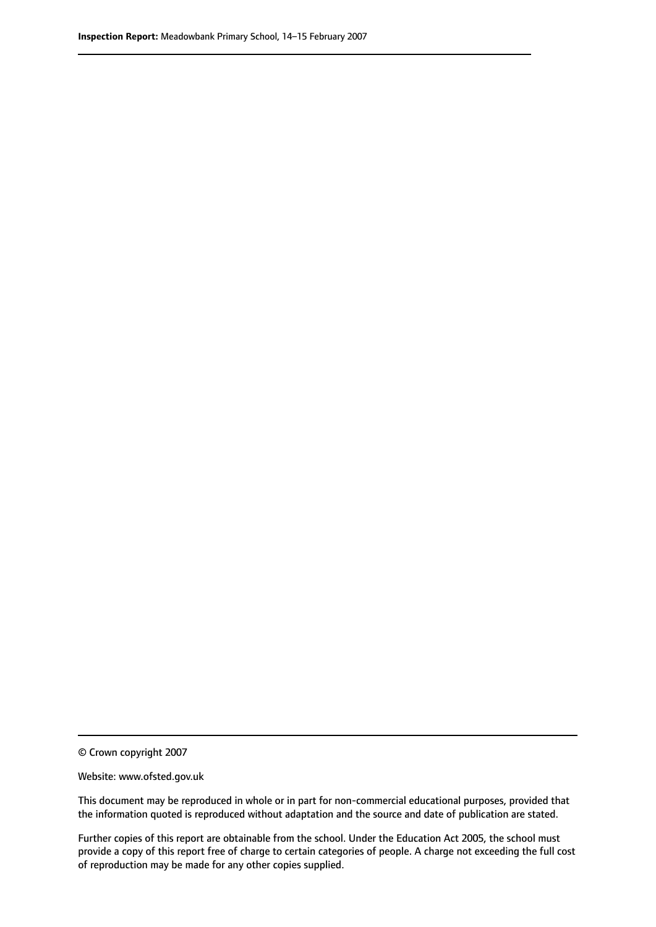© Crown copyright 2007

Website: www.ofsted.gov.uk

This document may be reproduced in whole or in part for non-commercial educational purposes, provided that the information quoted is reproduced without adaptation and the source and date of publication are stated.

Further copies of this report are obtainable from the school. Under the Education Act 2005, the school must provide a copy of this report free of charge to certain categories of people. A charge not exceeding the full cost of reproduction may be made for any other copies supplied.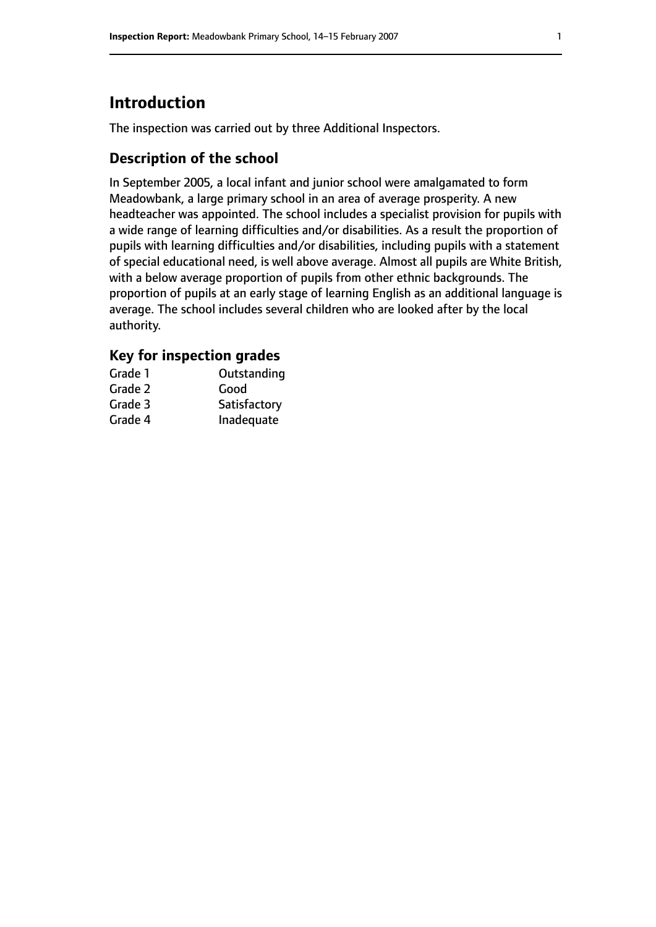# **Introduction**

The inspection was carried out by three Additional Inspectors.

# **Description of the school**

In September 2005, a local infant and junior school were amalgamated to form Meadowbank, a large primary school in an area of average prosperity. A new headteacher was appointed. The school includes a specialist provision for pupils with a wide range of learning difficulties and/or disabilities. As a result the proportion of pupils with learning difficulties and/or disabilities, including pupils with a statement of special educational need, is well above average. Almost all pupils are White British, with a below average proportion of pupils from other ethnic backgrounds. The proportion of pupils at an early stage of learning English as an additional language is average. The school includes several children who are looked after by the local authority.

# **Key for inspection grades**

| Grade 1 | Outstanding  |
|---------|--------------|
| Grade 2 | Good         |
| Grade 3 | Satisfactory |
| Grade 4 | Inadequate   |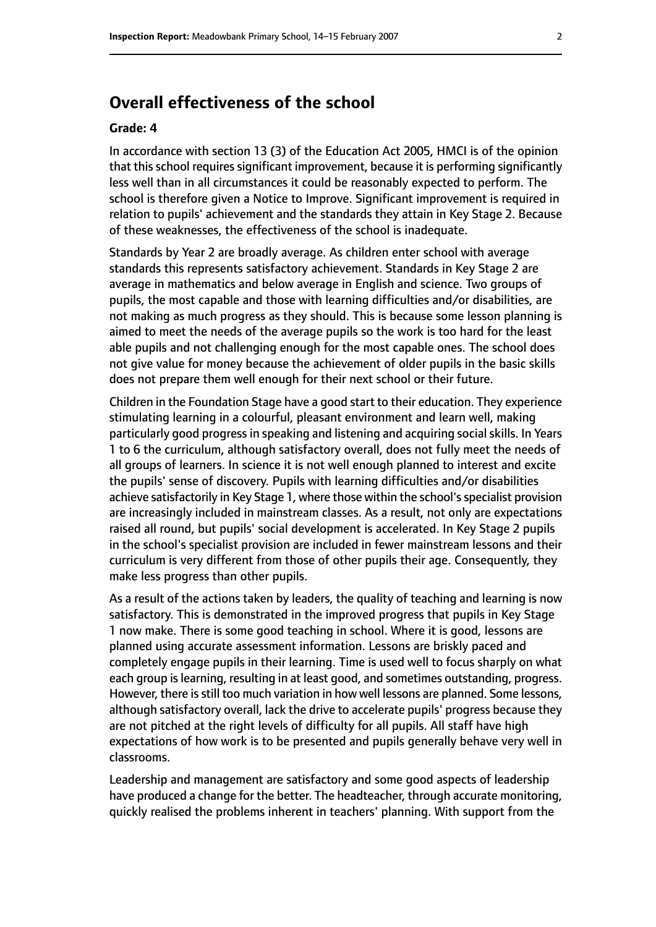# **Overall effectiveness of the school**

#### **Grade: 4**

In accordance with section 13 (3) of the Education Act 2005, HMCI is of the opinion that this school requires significant improvement, because it is performing significantly less well than in all circumstances it could be reasonably expected to perform. The school is therefore given a Notice to Improve. Significant improvement is required in relation to pupils' achievement and the standards they attain in Key Stage 2. Because of these weaknesses, the effectiveness of the school is inadequate.

Standards by Year 2 are broadly average. As children enter school with average standards this represents satisfactory achievement. Standards in Key Stage 2 are average in mathematics and below average in English and science. Two groups of pupils, the most capable and those with learning difficulties and/or disabilities, are not making as much progress as they should. This is because some lesson planning is aimed to meet the needs of the average pupils so the work is too hard for the least able pupils and not challenging enough for the most capable ones. The school does not give value for money because the achievement of older pupils in the basic skills does not prepare them well enough for their next school or their future.

Children in the Foundation Stage have a good start to their education. They experience stimulating learning in a colourful, pleasant environment and learn well, making particularly good progress in speaking and listening and acquiring social skills. In Years 1 to 6 the curriculum, although satisfactory overall, does not fully meet the needs of all groups of learners. In science it is not well enough planned to interest and excite the pupils' sense of discovery. Pupils with learning difficulties and/or disabilities achieve satisfactorily in Key Stage 1, where those within the school's specialist provision are increasingly included in mainstream classes. As a result, not only are expectations raised all round, but pupils' social development is accelerated. In Key Stage 2 pupils in the school's specialist provision are included in fewer mainstream lessons and their curriculum is very different from those of other pupils their age. Consequently, they make less progress than other pupils.

As a result of the actions taken by leaders, the quality of teaching and learning is now satisfactory. This is demonstrated in the improved progress that pupils in Key Stage 1 now make. There is some good teaching in school. Where it is good, lessons are planned using accurate assessment information. Lessons are briskly paced and completely engage pupils in their learning. Time is used well to focus sharply on what each group is learning, resulting in at least good, and sometimes outstanding, progress. However, there is still too much variation in how well lessons are planned. Some lessons, although satisfactory overall, lack the drive to accelerate pupils' progress because they are not pitched at the right levels of difficulty for all pupils. All staff have high expectations of how work is to be presented and pupils generally behave very well in classrooms.

Leadership and management are satisfactory and some good aspects of leadership have produced a change for the better. The headteacher, through accurate monitoring, quickly realised the problems inherent in teachers' planning. With support from the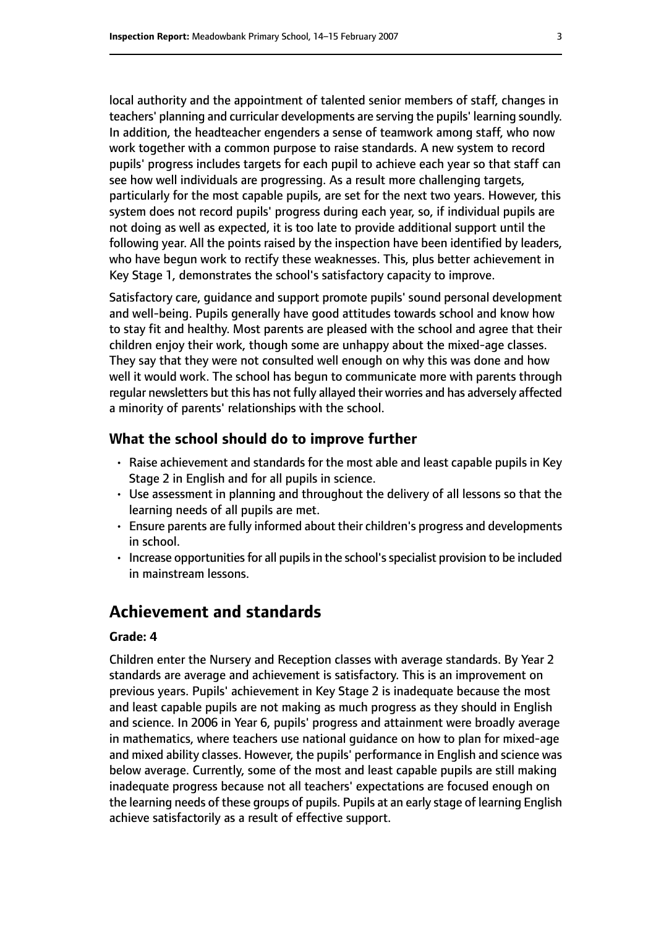local authority and the appointment of talented senior members of staff, changes in teachers' planning and curricular developments are serving the pupils' learning soundly. In addition, the headteacher engenders a sense of teamwork among staff, who now work together with a common purpose to raise standards. A new system to record pupils' progress includes targets for each pupil to achieve each year so that staff can see how well individuals are progressing. As a result more challenging targets, particularly for the most capable pupils, are set for the next two years. However, this system does not record pupils' progress during each year, so, if individual pupils are not doing as well as expected, it is too late to provide additional support until the following year. All the points raised by the inspection have been identified by leaders, who have begun work to rectify these weaknesses. This, plus better achievement in Key Stage 1, demonstrates the school's satisfactory capacity to improve.

Satisfactory care, guidance and support promote pupils' sound personal development and well-being. Pupils generally have good attitudes towards school and know how to stay fit and healthy. Most parents are pleased with the school and agree that their children enjoy their work, though some are unhappy about the mixed-age classes. They say that they were not consulted well enough on why this was done and how well it would work. The school has begun to communicate more with parents through regular newsletters but this has not fully allayed their worries and has adversely affected a minority of parents' relationships with the school.

#### **What the school should do to improve further**

- Raise achievement and standards for the most able and least capable pupils in Key Stage 2 in English and for all pupils in science.
- Use assessment in planning and throughout the delivery of all lessons so that the learning needs of all pupils are met.
- Ensure parents are fully informed about their children's progress and developments in school.
- Increase opportunities for all pupils in the school's specialist provision to be included in mainstream lessons.

# **Achievement and standards**

#### **Grade: 4**

Children enter the Nursery and Reception classes with average standards. By Year 2 standards are average and achievement is satisfactory. This is an improvement on previous years. Pupils' achievement in Key Stage 2 is inadequate because the most and least capable pupils are not making as much progress as they should in English and science. In 2006 in Year 6, pupils' progress and attainment were broadly average in mathematics, where teachers use national guidance on how to plan for mixed-age and mixed ability classes. However, the pupils' performance in English and science was below average. Currently, some of the most and least capable pupils are still making inadequate progress because not all teachers' expectations are focused enough on the learning needs of these groups of pupils. Pupils at an early stage of learning English achieve satisfactorily as a result of effective support.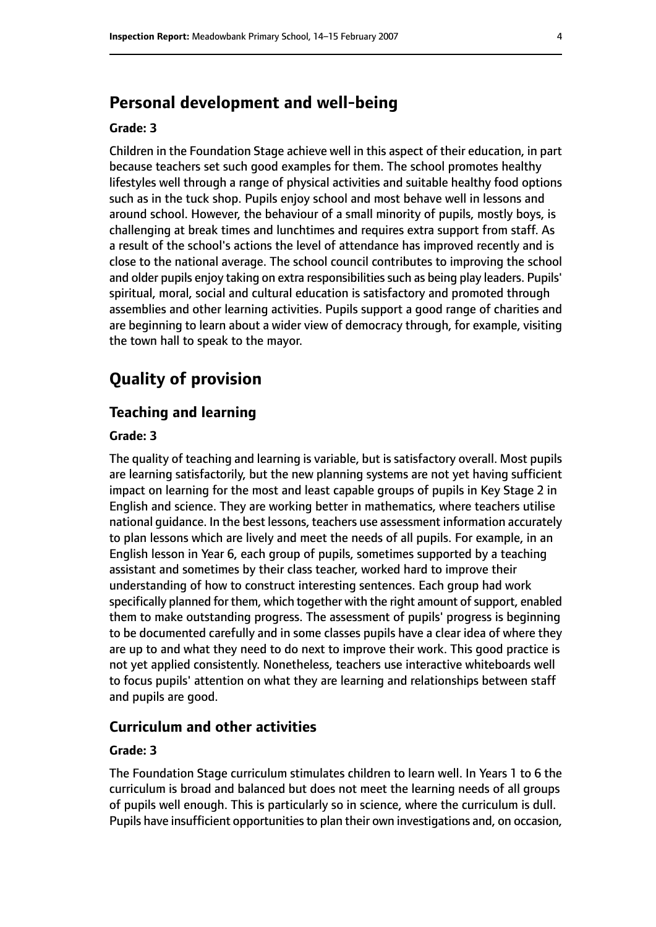# **Personal development and well-being**

#### **Grade: 3**

Children in the Foundation Stage achieve well in this aspect of their education, in part because teachers set such good examples for them. The school promotes healthy lifestyles well through a range of physical activities and suitable healthy food options such as in the tuck shop. Pupils enjoy school and most behave well in lessons and around school. However, the behaviour of a small minority of pupils, mostly boys, is challenging at break times and lunchtimes and requires extra support from staff. As a result of the school's actions the level of attendance has improved recently and is close to the national average. The school council contributes to improving the school and older pupils enjoy taking on extra responsibilities such as being play leaders. Pupils' spiritual, moral, social and cultural education is satisfactory and promoted through assemblies and other learning activities. Pupils support a good range of charities and are beginning to learn about a wider view of democracy through, for example, visiting the town hall to speak to the mayor.

# **Quality of provision**

#### **Teaching and learning**

#### **Grade: 3**

The quality of teaching and learning is variable, but is satisfactory overall. Most pupils are learning satisfactorily, but the new planning systems are not yet having sufficient impact on learning for the most and least capable groups of pupils in Key Stage 2 in English and science. They are working better in mathematics, where teachers utilise national guidance. In the best lessons, teachers use assessment information accurately to plan lessons which are lively and meet the needs of all pupils. For example, in an English lesson in Year 6, each group of pupils, sometimes supported by a teaching assistant and sometimes by their class teacher, worked hard to improve their understanding of how to construct interesting sentences. Each group had work specifically planned for them, which together with the right amount of support, enabled them to make outstanding progress. The assessment of pupils' progress is beginning to be documented carefully and in some classes pupils have a clear idea of where they are up to and what they need to do next to improve their work. This good practice is not yet applied consistently. Nonetheless, teachers use interactive whiteboards well to focus pupils' attention on what they are learning and relationships between staff and pupils are good.

#### **Curriculum and other activities**

#### **Grade: 3**

The Foundation Stage curriculum stimulates children to learn well. In Years 1 to 6 the curriculum is broad and balanced but does not meet the learning needs of all groups of pupils well enough. This is particularly so in science, where the curriculum is dull. Pupils have insufficient opportunities to plan their own investigations and, on occasion,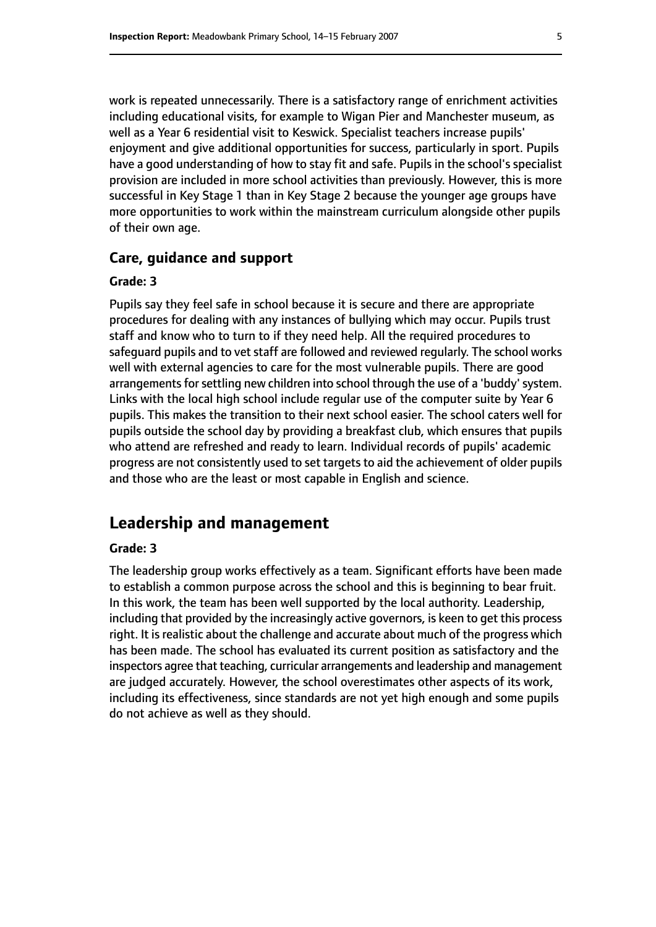work is repeated unnecessarily. There is a satisfactory range of enrichment activities including educational visits, for example to Wigan Pier and Manchester museum, as well as a Year 6 residential visit to Keswick. Specialist teachers increase pupils' enjoyment and give additional opportunities for success, particularly in sport. Pupils have a good understanding of how to stay fit and safe. Pupils in the school's specialist provision are included in more school activities than previously. However, this is more successful in Key Stage 1 than in Key Stage 2 because the younger age groups have more opportunities to work within the mainstream curriculum alongside other pupils of their own age.

#### **Care, guidance and support**

#### **Grade: 3**

Pupils say they feel safe in school because it is secure and there are appropriate procedures for dealing with any instances of bullying which may occur. Pupils trust staff and know who to turn to if they need help. All the required procedures to safeguard pupils and to vet staff are followed and reviewed regularly. The school works well with external agencies to care for the most vulnerable pupils. There are good arrangements for settling new children into school through the use of a 'buddy' system. Links with the local high school include regular use of the computer suite by Year 6 pupils. This makes the transition to their next school easier. The school caters well for pupils outside the school day by providing a breakfast club, which ensures that pupils who attend are refreshed and ready to learn. Individual records of pupils' academic progress are not consistently used to set targets to aid the achievement of older pupils and those who are the least or most capable in English and science.

# **Leadership and management**

#### **Grade: 3**

The leadership group works effectively as a team. Significant efforts have been made to establish a common purpose across the school and this is beginning to bear fruit. In this work, the team has been well supported by the local authority. Leadership, including that provided by the increasingly active governors, is keen to get this process right. It is realistic about the challenge and accurate about much of the progress which has been made. The school has evaluated its current position as satisfactory and the inspectors agree that teaching, curricular arrangements and leadership and management are judged accurately. However, the school overestimates other aspects of its work, including its effectiveness, since standards are not yet high enough and some pupils do not achieve as well as they should.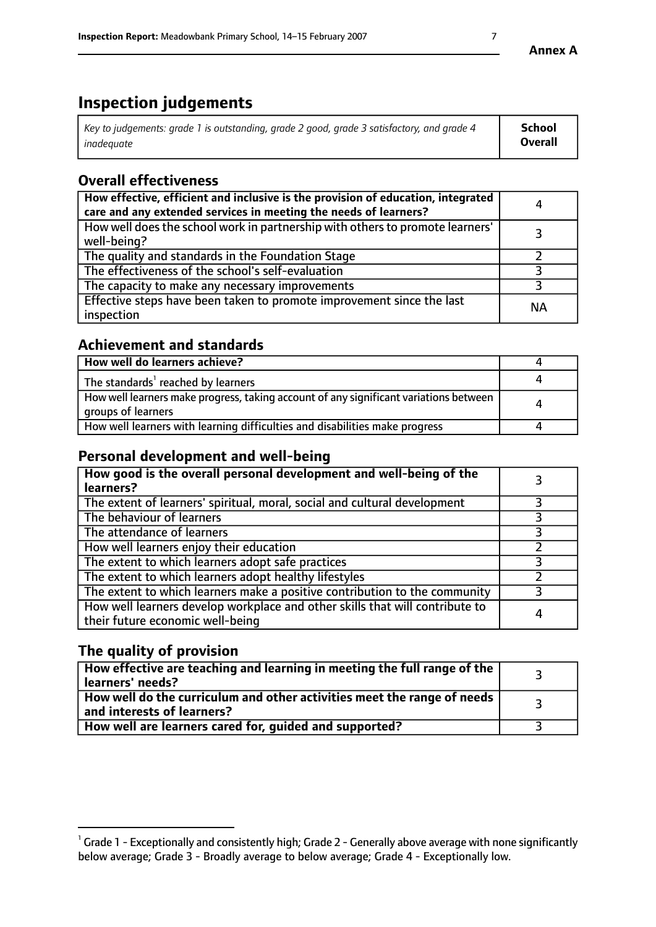# **Inspection judgements**

| Key to judgements: grade 1 is outstanding, grade 2 good, grade 3 satisfactory, and grade 4 | <b>School</b>  |
|--------------------------------------------------------------------------------------------|----------------|
| inadeauate                                                                                 | <b>Overall</b> |

# **Overall effectiveness**

| How effective, efficient and inclusive is the provision of education, integrated<br>care and any extended services in meeting the needs of learners? | 4         |
|------------------------------------------------------------------------------------------------------------------------------------------------------|-----------|
| How well does the school work in partnership with others to promote learners'<br>well-being?                                                         |           |
| The quality and standards in the Foundation Stage                                                                                                    |           |
| The effectiveness of the school's self-evaluation                                                                                                    |           |
| The capacity to make any necessary improvements                                                                                                      |           |
| Effective steps have been taken to promote improvement since the last<br>inspection                                                                  | <b>NA</b> |

# **Achievement and standards**

| How well do learners achieve?                                                                               |   |
|-------------------------------------------------------------------------------------------------------------|---|
| The standards <sup>1</sup> reached by learners                                                              |   |
| How well learners make progress, taking account of any significant variations between<br>groups of learners | л |
| How well learners with learning difficulties and disabilities make progress                                 |   |

# **Personal development and well-being**

| How good is the overall personal development and well-being of the<br>learners?                                  |   |
|------------------------------------------------------------------------------------------------------------------|---|
| The extent of learners' spiritual, moral, social and cultural development                                        |   |
| The behaviour of learners                                                                                        |   |
| The attendance of learners                                                                                       |   |
| How well learners enjoy their education                                                                          |   |
| The extent to which learners adopt safe practices                                                                |   |
| The extent to which learners adopt healthy lifestyles                                                            |   |
| The extent to which learners make a positive contribution to the community                                       |   |
| How well learners develop workplace and other skills that will contribute to<br>their future economic well-being | 4 |

# **The quality of provision**

| $\Box$ How effective are teaching and learning in meeting the full range of the $\Box$<br>  learners' needs?        |  |
|---------------------------------------------------------------------------------------------------------------------|--|
| $\mid$ How well do the curriculum and other activities meet the range of needs<br>$\mid$ and interests of learners? |  |
| How well are learners cared for, guided and supported?                                                              |  |

 $^1$  Grade 1 - Exceptionally and consistently high; Grade 2 - Generally above average with none significantly below average; Grade 3 - Broadly average to below average; Grade 4 - Exceptionally low.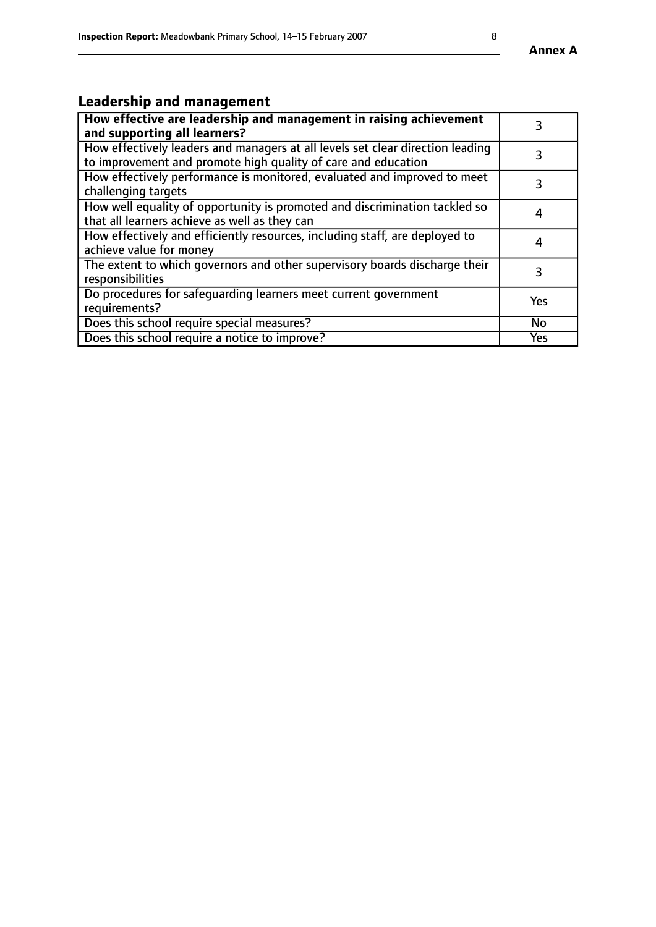# **Leadership and management**

| How effective are leadership and management in raising achievement<br>and supporting all learners?                                              |     |
|-------------------------------------------------------------------------------------------------------------------------------------------------|-----|
| How effectively leaders and managers at all levels set clear direction leading<br>to improvement and promote high quality of care and education |     |
| How effectively performance is monitored, evaluated and improved to meet<br>challenging targets                                                 | 3   |
| How well equality of opportunity is promoted and discrimination tackled so<br>that all learners achieve as well as they can                     | 4   |
| How effectively and efficiently resources, including staff, are deployed to<br>achieve value for money                                          | 4   |
| The extent to which governors and other supervisory boards discharge their<br>responsibilities                                                  | 3   |
| Do procedures for safequarding learners meet current government<br>requirements?                                                                | Yes |
| Does this school require special measures?                                                                                                      | No  |
| Does this school require a notice to improve?                                                                                                   | Yes |